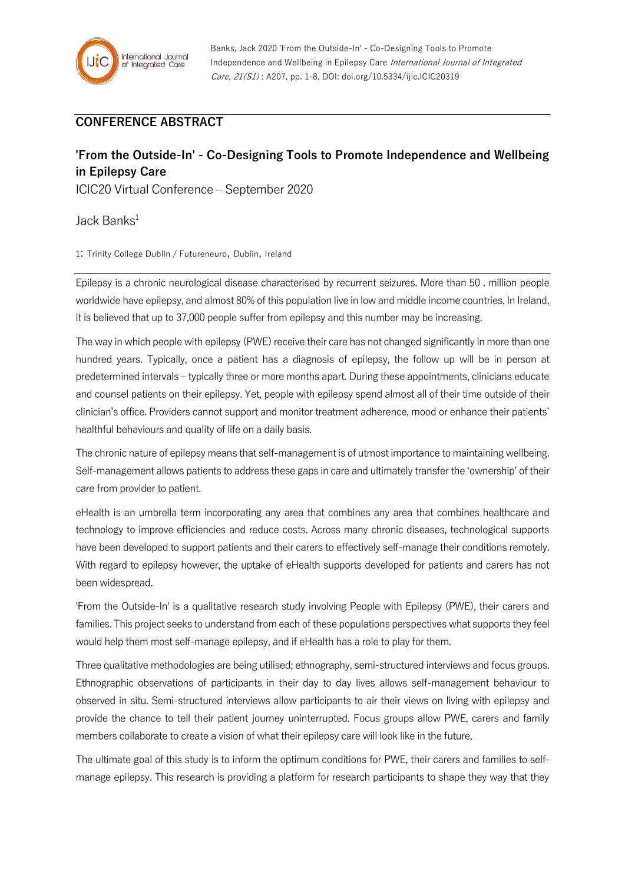## **CONFERENCE ABSTRACT**

## **'From the Outside-In' - Co-Designing Tools to Promote Independence and Wellbeing in Epilepsy Care**

ICIC20 Virtual Conference – September 2020

Jack Banks $1$ 

1: Trinity College Dublin / Futureneuro, Dublin, Ireland

Epilepsy is a chronic neurological disease characterised by recurrent seizures. More than 50 . million people worldwide have epilepsy, and almost 80% of this population live in low and middle income countries. In Ireland, it is believed that up to 37,000 people suffer from epilepsy and this number may be increasing.

The way in which people with epilepsy (PWE) receive their care has not changed significantly in more than one hundred years. Typically, once a patient has a diagnosis of epilepsy, the follow up will be in person at predetermined intervals – typically three or more months apart. During these appointments, clinicians educate and counsel patients on their epilepsy. Yet, people with epilepsy spend almost all of their time outside of their clinician's office. Providers cannot support and monitor treatment adherence, mood or enhance their patients' healthful behaviours and quality of life on a daily basis.

The chronic nature of epilepsy means that self-management is of utmost importance to maintaining wellbeing. Self-management allows patients to address these gaps in care and ultimately transfer the 'ownership' of their care from provider to patient.

eHealth is an umbrella term incorporating any area that combines any area that combines healthcare and technology to improve efficiencies and reduce costs. Across many chronic diseases, technological supports have been developed to support patients and their carers to effectively self-manage their conditions remotely. With regard to epilepsy however, the uptake of eHealth supports developed for patients and carers has not been widespread.

'From the Outside-In' is a qualitative research study involving People with Epilepsy (PWE), their carers and families. This project seeks to understand from each of these populations perspectives what supports they feel would help them most self-manage epilepsy, and if eHealth has a role to play for them.

Three qualitative methodologies are being utilised; ethnography, semi-structured interviews and focus groups. Ethnographic observations of participants in their day to day lives allows self-management behaviour to observed in situ. Semi-structured interviews allow participants to air their views on living with epilepsy and provide the chance to tell their patient journey uninterrupted. Focus groups allow PWE, carers and family members collaborate to create a vision of what their epilepsy care will look like in the future,

The ultimate goal of this study is to inform the optimum conditions for PWE, their carers and families to selfmanage epilepsy. This research is providing a platform for research participants to shape they way that they